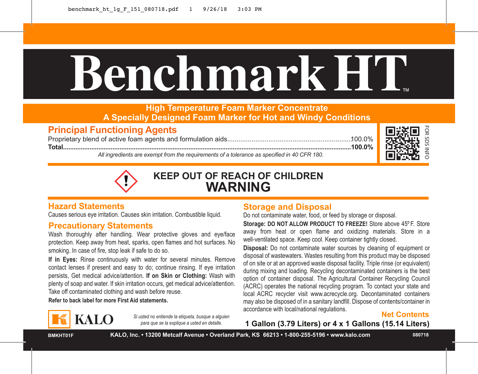# **BenchmarkHT**™

# **High Temperature Foam Marker Concentrate A Specially Designed Foam Marker for Hot and Windy Conditions**

# **Principal Functioning Agents**

Proprietary blend of active foam agents and formulation aids...................................................................100.0% **Total...................................................................................................................................................................100.0%**

*All ingredients are exempt from the requirements of a tolerance as specified in 40 CFR 180.*





**KEEP OUT OF REACH OF CHILDREN WARNING**

# **Hazard Statements**

Causes serious eye irritation. Causes skin irritation. Combustible liquid.

# **Precautionary Statements**

Wash thoroughly after handling. Wear protective gloves and eye/face protection. Keep away from heat, sparks, open flames and hot surfaces. No smoking. In case of fire, stop leak if safe to do so.

**If in Eyes:** Rinse continuously with water for several minutes. Remove contact lenses if present and easy to do; continue rinsing. If eye irritation persists, Get medical advice/attention. **If on Skin or Clothing:** Wash with plenty of soap and water. If skin irritation occurs, get medical advice/attention. Take off contaminated clothing and wash before reuse.

**Refer to back label for more First Aid statements.**

# **KALO**

*Si usted no entiende la etiqueta, busque a alguien para que se la explique a usted en detalle.*

# **Storage and Disposal**

Do not contaminate water, food, or feed by storage or disposal.

**Storage: DO NOT ALLOW PRODUCT TO FREEZE!** Store above 45º F. Store away from heat or open flame and oxidizing materials. Store in a well-ventilated space. Keep cool. Keep container tightly closed.

1 Gallon (3.79 Liters) or 4 x 1 Gallon (3.79 Liters)<br>
1 Gallon (3.79 Liters) or 4 x 1 Gallons (15.14 Liters)<br>
1 Gallon (3.79 Liters) or 4 x 1 Gallons (15.14 Liters)<br>
1 Gallon (3.79 Liters) or 4 x 1 Gallons (15.14 Liters)<br> **Disposal:** Do not contaminate water sources by cleaning of equipment or disposal of wastewaters. Wastes resulting from this product may be disposed of on site or at an approved waste disposal facility. Triple rinse (or equivalent) during mixing and loading. Recycling decontaminated containers is the best option of container disposal. The Agricultural Container Recycling Council (ACRC) operates the national recycling program. To contact your state and local ACRC recycler visit www.acrecycle.org. Decontaminated containers may also be disposed of in a sanitary landfill. Dispose of contents/container in accordance with local/national regulations.

**Net Contents**<br>1 Gallon (3.79 Liters) or 4 x 1 Gallons (15.14 Liters)

**BMKHT01F**

**KALO, Inc. • 13200 Metcalf Avenue • Overland Park, KS 66213 • 1-800-255-5196 • www.kalo.com 080718**